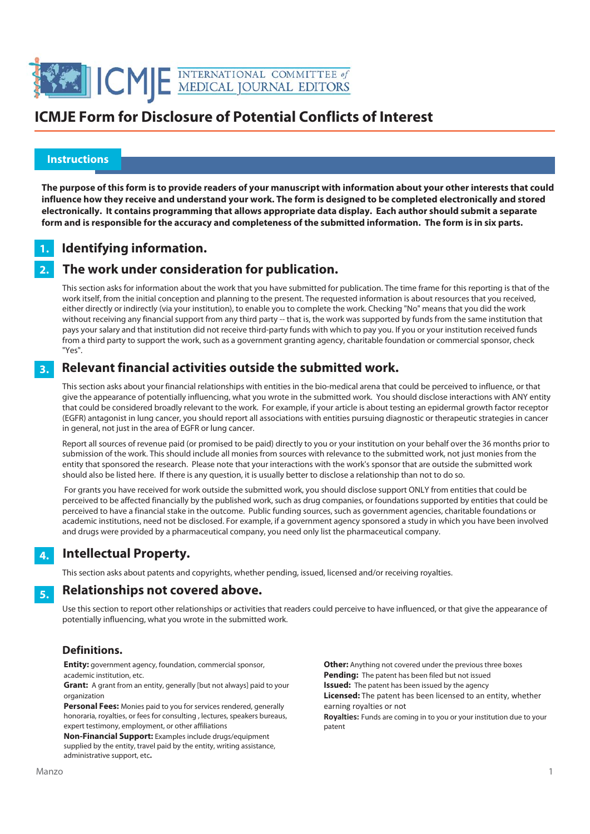

### **Instructions**

 l

> **The purpose of this form is to provide readers of your manuscript with information about your other interests that could influence how they receive and understand your work. The form is designed to be completed electronically and stored electronically. It contains programming that allows appropriate data display. Each author should submit a separate form and is responsible for the accuracy and completeness of the submitted information. The form is in six parts.**

### **Identifying information. 1.**

### **The work under consideration for publication. 2.**

This section asks for information about the work that you have submitted for publication. The time frame for this reporting is that of the work itself, from the initial conception and planning to the present. The requested information is about resources that you received, either directly or indirectly (via your institution), to enable you to complete the work. Checking "No" means that you did the work without receiving any financial support from any third party -- that is, the work was supported by funds from the same institution that pays your salary and that institution did not receive third-party funds with which to pay you. If you or your institution received funds from a third party to support the work, such as a government granting agency, charitable foundation or commercial sponsor, check "Yes".

### **Relevant financial activities outside the submitted work. 3.**

This section asks about your financial relationships with entities in the bio-medical arena that could be perceived to influence, or that give the appearance of potentially influencing, what you wrote in the submitted work. You should disclose interactions with ANY entity that could be considered broadly relevant to the work. For example, if your article is about testing an epidermal growth factor receptor (EGFR) antagonist in lung cancer, you should report all associations with entities pursuing diagnostic or therapeutic strategies in cancer in general, not just in the area of EGFR or lung cancer.

Report all sources of revenue paid (or promised to be paid) directly to you or your institution on your behalf over the 36 months prior to submission of the work. This should include all monies from sources with relevance to the submitted work, not just monies from the entity that sponsored the research. Please note that your interactions with the work's sponsor that are outside the submitted work should also be listed here. If there is any question, it is usually better to disclose a relationship than not to do so.

 For grants you have received for work outside the submitted work, you should disclose support ONLY from entities that could be perceived to be affected financially by the published work, such as drug companies, or foundations supported by entities that could be perceived to have a financial stake in the outcome. Public funding sources, such as government agencies, charitable foundations or academic institutions, need not be disclosed. For example, if a government agency sponsored a study in which you have been involved and drugs were provided by a pharmaceutical company, you need only list the pharmaceutical company.

### **Intellectual Property. 4.**

This section asks about patents and copyrights, whether pending, issued, licensed and/or receiving royalties.

### **Relationships not covered above. 5.**

Use this section to report other relationships or activities that readers could perceive to have influenced, or that give the appearance of potentially influencing, what you wrote in the submitted work.

## **Definitions.**

**Entity:** government agency, foundation, commercial sponsor, academic institution, etc.

**Grant:** A grant from an entity, generally [but not always] paid to your organization

**Personal Fees:** Monies paid to you for services rendered, generally honoraria, royalties, or fees for consulting , lectures, speakers bureaus, expert testimony, employment, or other affiliations

**Non-Financial Support:** Examples include drugs/equipment supplied by the entity, travel paid by the entity, writing assistance, administrative support, etc**.**

**Other:** Anything not covered under the previous three boxes **Pending:** The patent has been filed but not issued **Issued:** The patent has been issued by the agency **Licensed:** The patent has been licensed to an entity, whether earning royalties or not **Royalties:** Funds are coming in to you or your institution due to your patent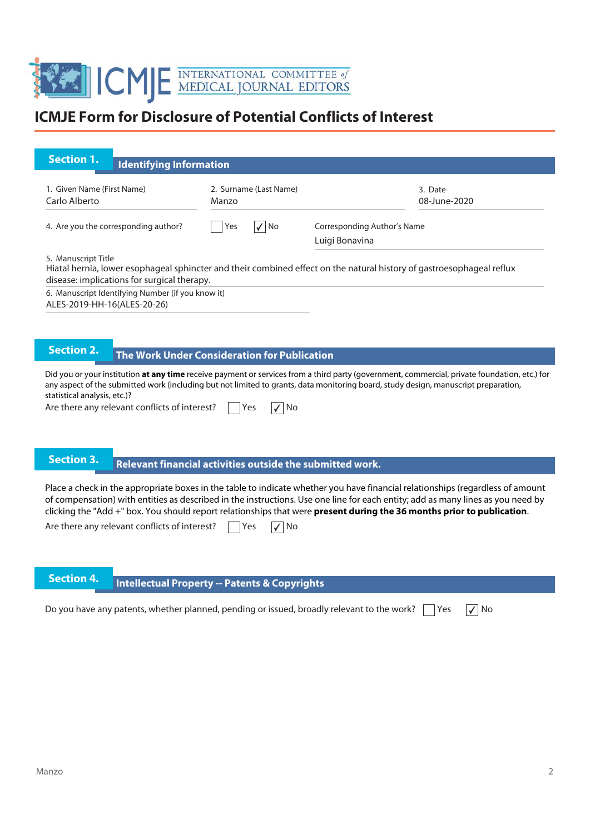

| <b>Section 1.</b>                                                                                                                                                                                                                                                                                                                                                                                                                                         | <b>Identifying Information</b> |                                                           |                                               |  |  |  |  |
|-----------------------------------------------------------------------------------------------------------------------------------------------------------------------------------------------------------------------------------------------------------------------------------------------------------------------------------------------------------------------------------------------------------------------------------------------------------|--------------------------------|-----------------------------------------------------------|-----------------------------------------------|--|--|--|--|
| 1. Given Name (First Name)<br>Carlo Alberto                                                                                                                                                                                                                                                                                                                                                                                                               |                                | 2. Surname (Last Name)<br>Manzo                           | 3. Date<br>08-June-2020                       |  |  |  |  |
| 4. Are you the corresponding author?                                                                                                                                                                                                                                                                                                                                                                                                                      |                                | $\sqrt{ N}$<br>Yes                                        | Corresponding Author's Name<br>Luigi Bonavina |  |  |  |  |
| 5. Manuscript Title<br>Hiatal hernia, lower esophageal sphincter and their combined effect on the natural history of gastroesophageal reflux<br>disease: implications for surgical therapy.                                                                                                                                                                                                                                                               |                                |                                                           |                                               |  |  |  |  |
| 6. Manuscript Identifying Number (if you know it)<br>ALES-2019-HH-16(ALES-20-26)                                                                                                                                                                                                                                                                                                                                                                          |                                |                                                           |                                               |  |  |  |  |
|                                                                                                                                                                                                                                                                                                                                                                                                                                                           |                                |                                                           |                                               |  |  |  |  |
| <b>Section 2.</b><br><b>The Work Under Consideration for Publication</b>                                                                                                                                                                                                                                                                                                                                                                                  |                                |                                                           |                                               |  |  |  |  |
| Did you or your institution at any time receive payment or services from a third party (government, commercial, private foundation, etc.) for<br>any aspect of the submitted work (including but not limited to grants, data monitoring board, study design, manuscript preparation,<br>statistical analysis, etc.)?<br>Are there any relevant conflicts of interest?<br>No<br>Yes                                                                        |                                |                                                           |                                               |  |  |  |  |
| <b>Section 3.</b>                                                                                                                                                                                                                                                                                                                                                                                                                                         |                                | Relevant financial activities outside the submitted work. |                                               |  |  |  |  |
| Place a check in the appropriate boxes in the table to indicate whether you have financial relationships (regardless of amount<br>of compensation) with entities as described in the instructions. Use one line for each entity; add as many lines as you need by<br>clicking the "Add +" box. You should report relationships that were present during the 36 months prior to publication.<br>Are there any relevant conflicts of interest?<br>No<br>Yes |                                |                                                           |                                               |  |  |  |  |
| <b>Section 4.</b>                                                                                                                                                                                                                                                                                                                                                                                                                                         |                                | <b>Intellectual Property -- Patents &amp; Copyrights</b>  |                                               |  |  |  |  |
| Do you have any patents, whether planned, pending or issued, broadly relevant to the work?<br>$\sqrt{N}$<br>Yes                                                                                                                                                                                                                                                                                                                                           |                                |                                                           |                                               |  |  |  |  |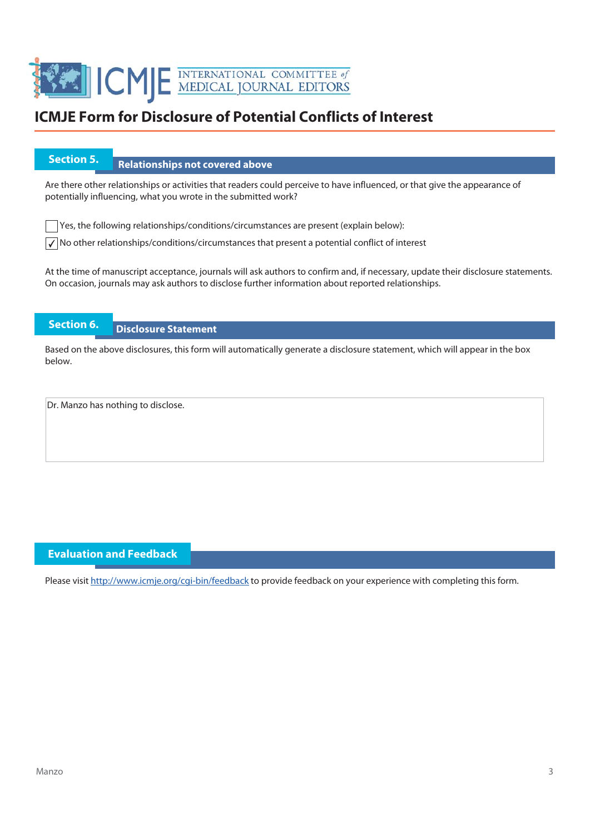

# **Section 5.** Relationships not covered above

Are there other relationships or activities that readers could perceive to have influenced, or that give the appearance of potentially influencing, what you wrote in the submitted work?

 $\Box$  Yes, the following relationships/conditions/circumstances are present (explain below):

 $\sqrt{\phantom{a}}$  No other relationships/conditions/circumstances that present a potential conflict of interest

At the time of manuscript acceptance, journals will ask authors to confirm and, if necessary, update their disclosure statements. On occasion, journals may ask authors to disclose further information about reported relationships.

## **Section 6. Disclosure Statement**

Based on the above disclosures, this form will automatically generate a disclosure statement, which will appear in the box below.

Dr. Manzo has nothing to disclose.

## **Evaluation and Feedback**

Please visit http://www.icmje.org/cgi-bin/feedback to provide feedback on your experience with completing this form.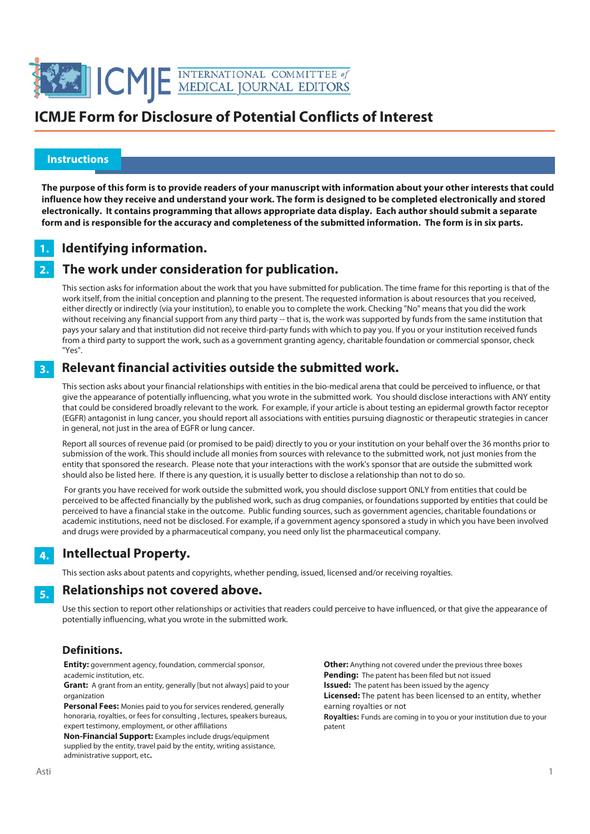

### **Instructions**

 l

> **The purpose of this form is to provide readers of your manuscript with information about your other interests that could influence how they receive and understand your work. The form is designed to be completed electronically and stored electronically. It contains programming that allows appropriate data display. Each author should submit a separate form and is responsible for the accuracy and completeness of the submitted information. The form is in six parts.**

### **Identifying information. 1.**

### **The work under consideration for publication. 2.**

This section asks for information about the work that you have submitted for publication. The time frame for this reporting is that of the work itself, from the initial conception and planning to the present. The requested information is about resources that you received, either directly or indirectly (via your institution), to enable you to complete the work. Checking "No" means that you did the work without receiving any financial support from any third party -- that is, the work was supported by funds from the same institution that pays your salary and that institution did not receive third-party funds with which to pay you. If you or your institution received funds from a third party to support the work, such as a government granting agency, charitable foundation or commercial sponsor, check "Yes".

### **Relevant financial activities outside the submitted work. 3.**

This section asks about your financial relationships with entities in the bio-medical arena that could be perceived to influence, or that give the appearance of potentially influencing, what you wrote in the submitted work. You should disclose interactions with ANY entity that could be considered broadly relevant to the work. For example, if your article is about testing an epidermal growth factor receptor (EGFR) antagonist in lung cancer, you should report all associations with entities pursuing diagnostic or therapeutic strategies in cancer in general, not just in the area of EGFR or lung cancer.

Report all sources of revenue paid (or promised to be paid) directly to you or your institution on your behalf over the 36 months prior to submission of the work. This should include all monies from sources with relevance to the submitted work, not just monies from the entity that sponsored the research. Please note that your interactions with the work's sponsor that are outside the submitted work should also be listed here. If there is any question, it is usually better to disclose a relationship than not to do so.

 For grants you have received for work outside the submitted work, you should disclose support ONLY from entities that could be perceived to be affected financially by the published work, such as drug companies, or foundations supported by entities that could be perceived to have a financial stake in the outcome. Public funding sources, such as government agencies, charitable foundations or academic institutions, need not be disclosed. For example, if a government agency sponsored a study in which you have been involved and drugs were provided by a pharmaceutical company, you need only list the pharmaceutical company.

### **Intellectual Property. 4.**

This section asks about patents and copyrights, whether pending, issued, licensed and/or receiving royalties.

### **Relationships not covered above. 5.**

Use this section to report other relationships or activities that readers could perceive to have influenced, or that give the appearance of potentially influencing, what you wrote in the submitted work.

## **Definitions.**

**Entity:** government agency, foundation, commercial sponsor, academic institution, etc.

**Grant:** A grant from an entity, generally [but not always] paid to your organization

**Personal Fees:** Monies paid to you for services rendered, generally honoraria, royalties, or fees for consulting , lectures, speakers bureaus, expert testimony, employment, or other affiliations

**Non-Financial Support:** Examples include drugs/equipment supplied by the entity, travel paid by the entity, writing assistance, administrative support, etc**.**

**Other:** Anything not covered under the previous three boxes **Pending:** The patent has been filed but not issued **Issued:** The patent has been issued by the agency **Licensed:** The patent has been licensed to an entity, whether earning royalties or not **Royalties:** Funds are coming in to you or your institution due to your patent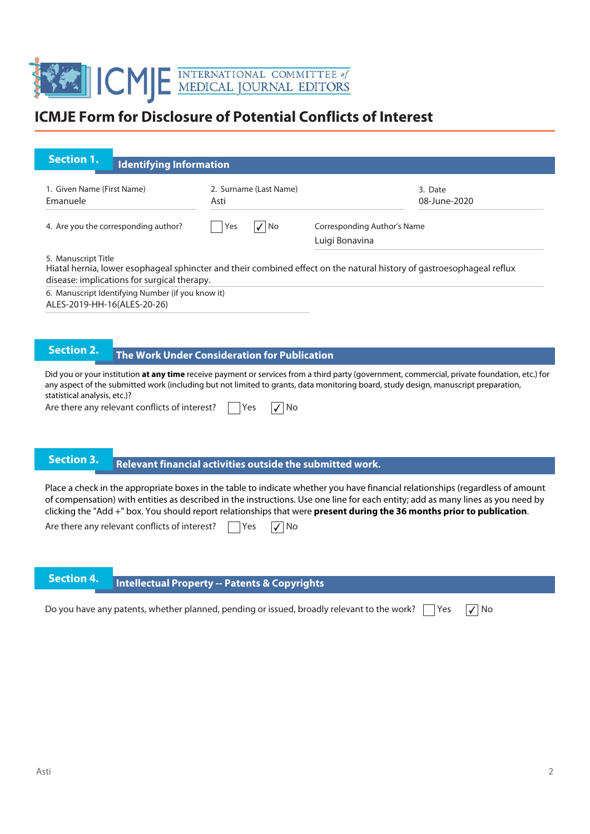

| <b>Section 1.</b>                                                                                                                                                                                                                                                                                                                                                                                                                                         | <b>Identifying Information</b>                            |                        |                                               |  |  |  |  |
|-----------------------------------------------------------------------------------------------------------------------------------------------------------------------------------------------------------------------------------------------------------------------------------------------------------------------------------------------------------------------------------------------------------------------------------------------------------|-----------------------------------------------------------|------------------------|-----------------------------------------------|--|--|--|--|
| 1. Given Name (First Name)<br>Emanuele                                                                                                                                                                                                                                                                                                                                                                                                                    |                                                           | 2. Surname (Last Name) | 3. Date<br>08-June-2020                       |  |  |  |  |
| 4. Are you the corresponding author?                                                                                                                                                                                                                                                                                                                                                                                                                      |                                                           | No<br>Yes              | Corresponding Author's Name<br>Luigi Bonavina |  |  |  |  |
| 5. Manuscript Title<br>Hiatal hernia, lower esophageal sphincter and their combined effect on the natural history of gastroesophageal reflux<br>disease: implications for surgical therapy.                                                                                                                                                                                                                                                               |                                                           |                        |                                               |  |  |  |  |
| 6. Manuscript Identifying Number (if you know it)<br>ALES-2019-HH-16(ALES-20-26)                                                                                                                                                                                                                                                                                                                                                                          |                                                           |                        |                                               |  |  |  |  |
|                                                                                                                                                                                                                                                                                                                                                                                                                                                           |                                                           |                        |                                               |  |  |  |  |
| <b>Section 2.</b><br>The Work Under Consideration for Publication                                                                                                                                                                                                                                                                                                                                                                                         |                                                           |                        |                                               |  |  |  |  |
| Did you or your institution at any time receive payment or services from a third party (government, commercial, private foundation, etc.) for<br>any aspect of the submitted work (including but not limited to grants, data monitoring board, study design, manuscript preparation,<br>statistical analysis, etc.)?<br>Are there any relevant conflicts of interest?<br>No<br>Yes                                                                        |                                                           |                        |                                               |  |  |  |  |
| <b>Section 3.</b>                                                                                                                                                                                                                                                                                                                                                                                                                                         |                                                           |                        |                                               |  |  |  |  |
|                                                                                                                                                                                                                                                                                                                                                                                                                                                           | Relevant financial activities outside the submitted work. |                        |                                               |  |  |  |  |
| Place a check in the appropriate boxes in the table to indicate whether you have financial relationships (regardless of amount<br>of compensation) with entities as described in the instructions. Use one line for each entity; add as many lines as you need by<br>clicking the "Add +" box. You should report relationships that were present during the 36 months prior to publication.<br>Are there any relevant conflicts of interest?<br>No<br>Yes |                                                           |                        |                                               |  |  |  |  |
|                                                                                                                                                                                                                                                                                                                                                                                                                                                           |                                                           |                        |                                               |  |  |  |  |
| <b>Section 4.</b>                                                                                                                                                                                                                                                                                                                                                                                                                                         | <b>Intellectual Property -- Patents &amp; Copyrights</b>  |                        |                                               |  |  |  |  |
| Do you have any patents, whether planned, pending or issued, broadly relevant to the work?<br><b>No</b><br>Yes<br>✓                                                                                                                                                                                                                                                                                                                                       |                                                           |                        |                                               |  |  |  |  |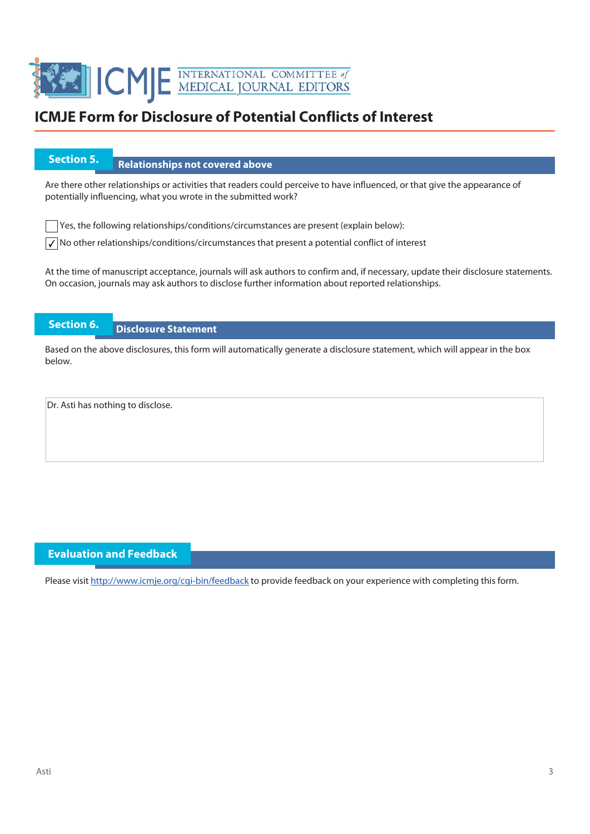

# **Section 5. Relationships not covered above**

Are there other relationships or activities that readers could perceive to have influenced, or that give the appearance of potentially influencing, what you wrote in the submitted work?

 $\Box$  Yes, the following relationships/conditions/circumstances are present (explain below):

 $\sqrt{\phantom{a}}$  No other relationships/conditions/circumstances that present a potential conflict of interest

At the time of manuscript acceptance, journals will ask authors to confirm and, if necessary, update their disclosure statements. On occasion, journals may ask authors to disclose further information about reported relationships.

## **Section 6. Disclosure Statement**

Based on the above disclosures, this form will automatically generate a disclosure statement, which will appear in the box below.

Dr. Asti has nothing to disclose.

## **Evaluation and Feedback**

Please visit http://www.icmje.org/cgi-bin/feedback to provide feedback on your experience with completing this form.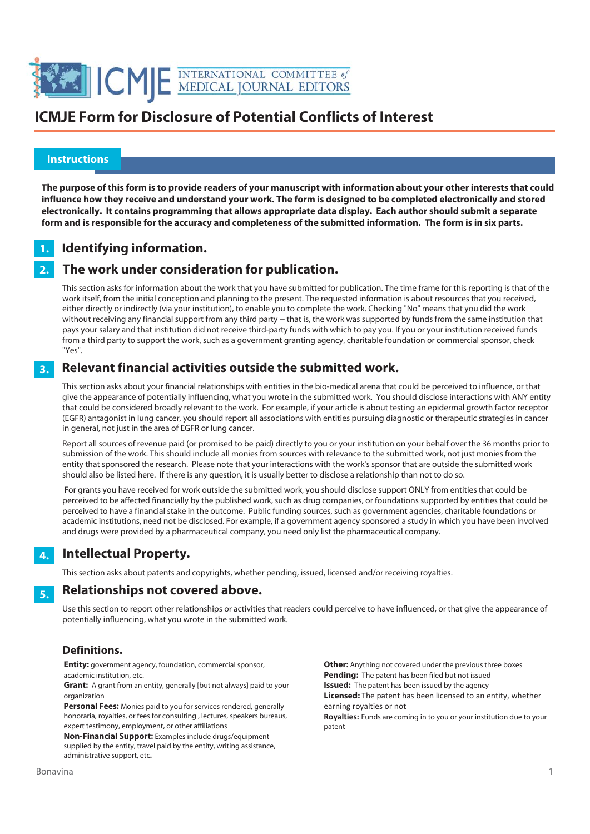

### **Instructions**

 l

> **The purpose of this form is to provide readers of your manuscript with information about your other interests that could influence how they receive and understand your work. The form is designed to be completed electronically and stored electronically. It contains programming that allows appropriate data display. Each author should submit a separate form and is responsible for the accuracy and completeness of the submitted information. The form is in six parts.**

### **Identifying information. 1.**

### **The work under consideration for publication. 2.**

This section asks for information about the work that you have submitted for publication. The time frame for this reporting is that of the work itself, from the initial conception and planning to the present. The requested information is about resources that you received, either directly or indirectly (via your institution), to enable you to complete the work. Checking "No" means that you did the work without receiving any financial support from any third party -- that is, the work was supported by funds from the same institution that pays your salary and that institution did not receive third-party funds with which to pay you. If you or your institution received funds from a third party to support the work, such as a government granting agency, charitable foundation or commercial sponsor, check "Yes".

### **Relevant financial activities outside the submitted work. 3.**

This section asks about your financial relationships with entities in the bio-medical arena that could be perceived to influence, or that give the appearance of potentially influencing, what you wrote in the submitted work. You should disclose interactions with ANY entity that could be considered broadly relevant to the work. For example, if your article is about testing an epidermal growth factor receptor (EGFR) antagonist in lung cancer, you should report all associations with entities pursuing diagnostic or therapeutic strategies in cancer in general, not just in the area of EGFR or lung cancer.

Report all sources of revenue paid (or promised to be paid) directly to you or your institution on your behalf over the 36 months prior to submission of the work. This should include all monies from sources with relevance to the submitted work, not just monies from the entity that sponsored the research. Please note that your interactions with the work's sponsor that are outside the submitted work should also be listed here. If there is any question, it is usually better to disclose a relationship than not to do so.

 For grants you have received for work outside the submitted work, you should disclose support ONLY from entities that could be perceived to be affected financially by the published work, such as drug companies, or foundations supported by entities that could be perceived to have a financial stake in the outcome. Public funding sources, such as government agencies, charitable foundations or academic institutions, need not be disclosed. For example, if a government agency sponsored a study in which you have been involved and drugs were provided by a pharmaceutical company, you need only list the pharmaceutical company.

### **Intellectual Property. 4.**

This section asks about patents and copyrights, whether pending, issued, licensed and/or receiving royalties.

### **Relationships not covered above. 5.**

Use this section to report other relationships or activities that readers could perceive to have influenced, or that give the appearance of potentially influencing, what you wrote in the submitted work.

patent

## **Definitions.**

**Entity:** government agency, foundation, commercial sponsor, academic institution, etc.

**Grant:** A grant from an entity, generally [but not always] paid to your organization

**Personal Fees:** Monies paid to you for services rendered, generally honoraria, royalties, or fees for consulting , lectures, speakers bureaus, expert testimony, employment, or other affiliations

**Non-Financial Support:** Examples include drugs/equipment supplied by the entity, travel paid by the entity, writing assistance, administrative support, etc**.**

**Other:** Anything not covered under the previous three boxes **Pending:** The patent has been filed but not issued **Issued:** The patent has been issued by the agency **Licensed:** The patent has been licensed to an entity, whether earning royalties or not **Royalties:** Funds are coming in to you or your institution due to your

Bonavina 1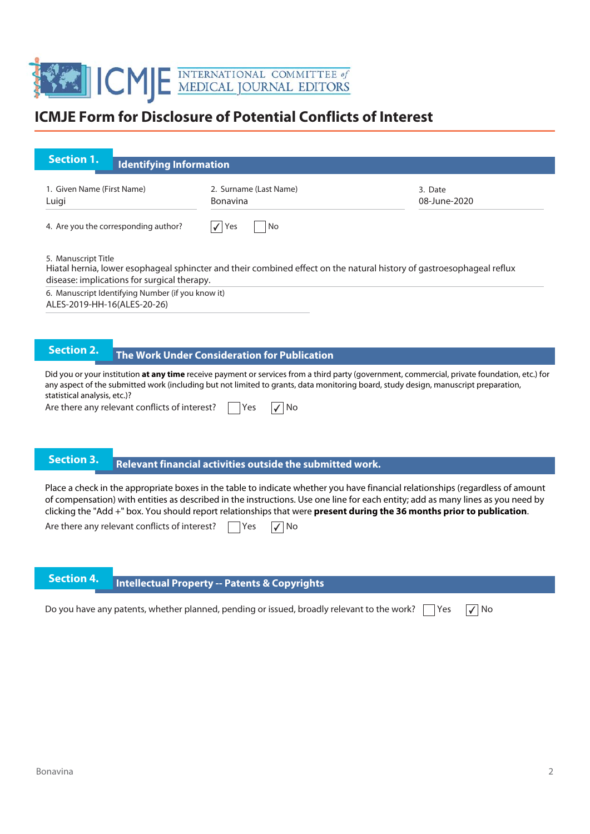

| <b>Section 1.</b><br><b>Identifying Information</b>                                                                                                                                                                                                                                                                                                                                                                                                       |                                                                                            |                         |  |  |  |  |  |
|-----------------------------------------------------------------------------------------------------------------------------------------------------------------------------------------------------------------------------------------------------------------------------------------------------------------------------------------------------------------------------------------------------------------------------------------------------------|--------------------------------------------------------------------------------------------|-------------------------|--|--|--|--|--|
| 1. Given Name (First Name)<br>Luigi                                                                                                                                                                                                                                                                                                                                                                                                                       | 2. Surname (Last Name)<br>Bonavina                                                         | 3. Date<br>08-June-2020 |  |  |  |  |  |
| 4. Are you the corresponding author?                                                                                                                                                                                                                                                                                                                                                                                                                      | $\sqrt{ \gamma_{es}}$<br>No                                                                |                         |  |  |  |  |  |
| 5. Manuscript Title<br>Hiatal hernia, lower esophageal sphincter and their combined effect on the natural history of gastroesophageal reflux<br>disease: implications for surgical therapy.                                                                                                                                                                                                                                                               |                                                                                            |                         |  |  |  |  |  |
| 6. Manuscript Identifying Number (if you know it)<br>ALES-2019-HH-16(ALES-20-26)                                                                                                                                                                                                                                                                                                                                                                          |                                                                                            |                         |  |  |  |  |  |
|                                                                                                                                                                                                                                                                                                                                                                                                                                                           |                                                                                            |                         |  |  |  |  |  |
| <b>Section 2.</b><br><b>The Work Under Consideration for Publication</b>                                                                                                                                                                                                                                                                                                                                                                                  |                                                                                            |                         |  |  |  |  |  |
| Did you or your institution at any time receive payment or services from a third party (government, commercial, private foundation, etc.) for<br>any aspect of the submitted work (including but not limited to grants, data monitoring board, study design, manuscript preparation,<br>statistical analysis, etc.)?<br>Are there any relevant conflicts of interest?<br>No<br>Yes                                                                        |                                                                                            |                         |  |  |  |  |  |
| <b>Section 3.</b>                                                                                                                                                                                                                                                                                                                                                                                                                                         | Relevant financial activities outside the submitted work.                                  |                         |  |  |  |  |  |
| Place a check in the appropriate boxes in the table to indicate whether you have financial relationships (regardless of amount<br>of compensation) with entities as described in the instructions. Use one line for each entity; add as many lines as you need by<br>clicking the "Add +" box. You should report relationships that were present during the 36 months prior to publication.<br>Are there any relevant conflicts of interest?<br>No<br>Yes |                                                                                            |                         |  |  |  |  |  |
| <b>Section 4.</b>                                                                                                                                                                                                                                                                                                                                                                                                                                         | <b>Intellectual Property -- Patents &amp; Copyrights</b>                                   |                         |  |  |  |  |  |
|                                                                                                                                                                                                                                                                                                                                                                                                                                                           | Do you have any patents, whether planned, pending or issued, broadly relevant to the work? | Yes<br>No               |  |  |  |  |  |